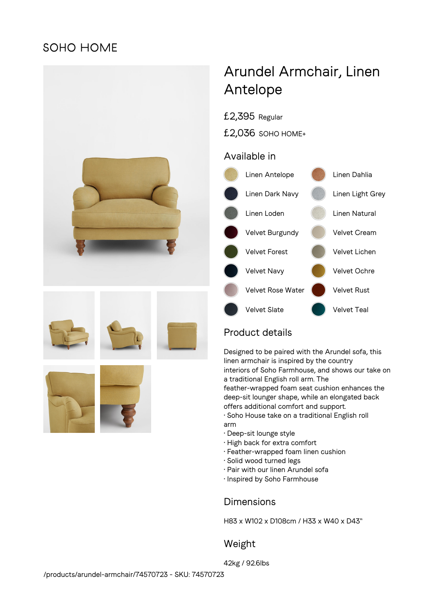## **SOHO HOME**



# Arundel Armchair, Linen Antelope

£2,395 Regular

£2,036 SOHO HOME+

## Available in



## Product details

Designed to be paired with the Arundel sofa, this linen armchair is inspired by the country interiors of Soho Farmhouse, and shows our take on a traditional English roll arm. The feather-wrapped foam seat cushion enhances the

deep-sit lounger shape, while an elongated back offers additional comfort and support.

- Soho House take on a traditional English roll arm
- Deep-sit lounge style
- High back for extra comfort
- Feather-wrapped foam linen cushion
- Solid wood turned legs
- Pair with our linen Arundel sofa
- Inspired by Soho Farmhouse

## Dimensions

H83 x W102 x D108cm / H33 x W40 x D43"

## Weight

42kg / 92.6lbs